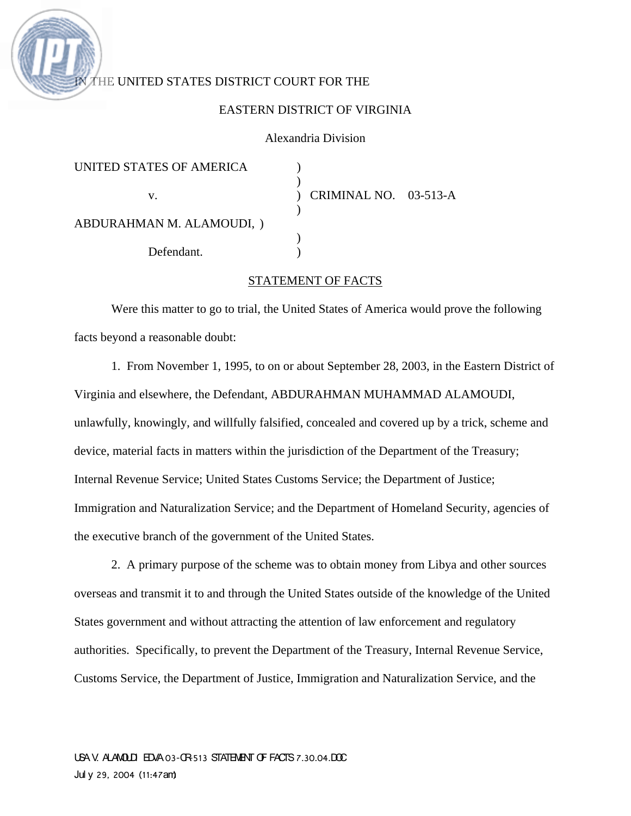# THE UNITED STATES DISTRICT COURT FOR THE

#### EASTERN DISTRICT OF VIRGINIA

### Alexandria Division

| UNITED STATES OF AMERICA        |                       |  |
|---------------------------------|-----------------------|--|
| V.<br>ABDURAHMAN M. ALAMOUDI, ) | CRIMINAL NO. 03-513-A |  |
|                                 |                       |  |
| Defendant.                      |                       |  |

#### STATEMENT OF FACTS

Were this matter to go to trial, the United States of America would prove the following facts beyond a reasonable doubt:

1. From November 1, 1995, to on or about September 28, 2003, in the Eastern District of Virginia and elsewhere, the Defendant, ABDURAHMAN MUHAMMAD ALAMOUDI, unlawfully, knowingly, and willfully falsified, concealed and covered up by a trick, scheme and device, material facts in matters within the jurisdiction of the Department of the Treasury; Internal Revenue Service; United States Customs Service; the Department of Justice; Immigration and Naturalization Service; and the Department of Homeland Security, agencies of the executive branch of the government of the United States.

2. A primary purpose of the scheme was to obtain money from Libya and other sources overseas and transmit it to and through the United States outside of the knowledge of the United States government and without attracting the attention of law enforcement and regulatory authorities. Specifically, to prevent the Department of the Treasury, Internal Revenue Service, Customs Service, the Department of Justice, Immigration and Naturalization Service, and the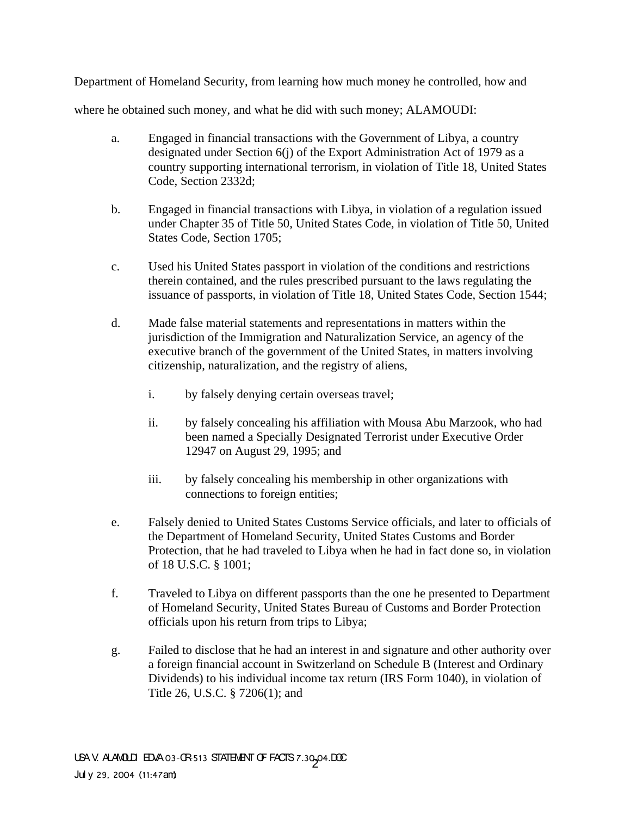Department of Homeland Security, from learning how much money he controlled, how and

where he obtained such money, and what he did with such money; ALAMOUDI:

- a. Engaged in financial transactions with the Government of Libya, a country designated under Section 6(j) of the Export Administration Act of 1979 as a country supporting international terrorism, in violation of Title 18, United States Code, Section 2332d;
- b. Engaged in financial transactions with Libya, in violation of a regulation issued under Chapter 35 of Title 50, United States Code, in violation of Title 50, United States Code, Section 1705;
- c. Used his United States passport in violation of the conditions and restrictions therein contained, and the rules prescribed pursuant to the laws regulating the issuance of passports, in violation of Title 18, United States Code, Section 1544;
- d. Made false material statements and representations in matters within the jurisdiction of the Immigration and Naturalization Service, an agency of the executive branch of the government of the United States, in matters involving citizenship, naturalization, and the registry of aliens,
	- i. by falsely denying certain overseas travel;
	- ii. by falsely concealing his affiliation with Mousa Abu Marzook, who had been named a Specially Designated Terrorist under Executive Order 12947 on August 29, 1995; and
	- iii. by falsely concealing his membership in other organizations with connections to foreign entities;
- e. Falsely denied to United States Customs Service officials, and later to officials of the Department of Homeland Security, United States Customs and Border Protection, that he had traveled to Libya when he had in fact done so, in violation of 18 U.S.C. § 1001;
- f. Traveled to Libya on different passports than the one he presented to Department of Homeland Security, United States Bureau of Customs and Border Protection officials upon his return from trips to Libya;
- g. Failed to disclose that he had an interest in and signature and other authority over a foreign financial account in Switzerland on Schedule B (Interest and Ordinary Dividends) to his individual income tax return (IRS Form 1040), in violation of Title 26, U.S.C. § 7206(1); and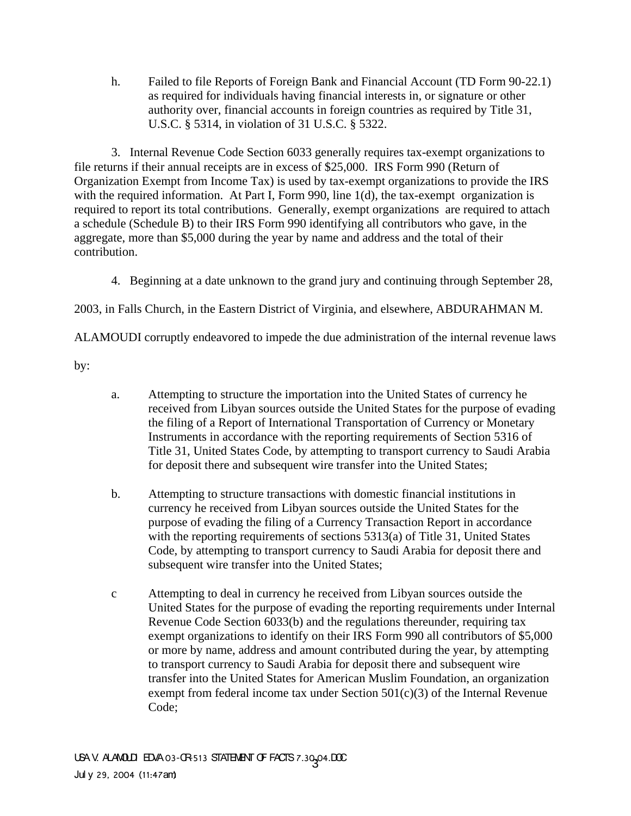h. Failed to file Reports of Foreign Bank and Financial Account (TD Form 90-22.1) as required for individuals having financial interests in, or signature or other authority over, financial accounts in foreign countries as required by Title 31, U.S.C. § 5314, in violation of 31 U.S.C. § 5322.

3. Internal Revenue Code Section 6033 generally requires tax-exempt organizations to file returns if their annual receipts are in excess of \$25,000. IRS Form 990 (Return of Organization Exempt from Income Tax) is used by tax-exempt organizations to provide the IRS with the required information. At Part I, Form 990, line 1(d), the tax-exempt organization is required to report its total contributions. Generally, exempt organizations are required to attach a schedule (Schedule B) to their IRS Form 990 identifying all contributors who gave, in the aggregate, more than \$5,000 during the year by name and address and the total of their contribution.

4. Beginning at a date unknown to the grand jury and continuing through September 28,

2003, in Falls Church, in the Eastern District of Virginia, and elsewhere, ABDURAHMAN M.

ALAMOUDI corruptly endeavored to impede the due administration of the internal revenue laws

by:

- a. Attempting to structure the importation into the United States of currency he received from Libyan sources outside the United States for the purpose of evading the filing of a Report of International Transportation of Currency or Monetary Instruments in accordance with the reporting requirements of Section 5316 of Title 31, United States Code, by attempting to transport currency to Saudi Arabia for deposit there and subsequent wire transfer into the United States;
- b. Attempting to structure transactions with domestic financial institutions in currency he received from Libyan sources outside the United States for the purpose of evading the filing of a Currency Transaction Report in accordance with the reporting requirements of sections 5313(a) of Title 31, United States Code, by attempting to transport currency to Saudi Arabia for deposit there and subsequent wire transfer into the United States;
- c Attempting to deal in currency he received from Libyan sources outside the United States for the purpose of evading the reporting requirements under Internal Revenue Code Section 6033(b) and the regulations thereunder, requiring tax exempt organizations to identify on their IRS Form 990 all contributors of \$5,000 or more by name, address and amount contributed during the year, by attempting to transport currency to Saudi Arabia for deposit there and subsequent wire transfer into the United States for American Muslim Foundation, an organization exempt from federal income tax under Section  $501(c)(3)$  of the Internal Revenue Code;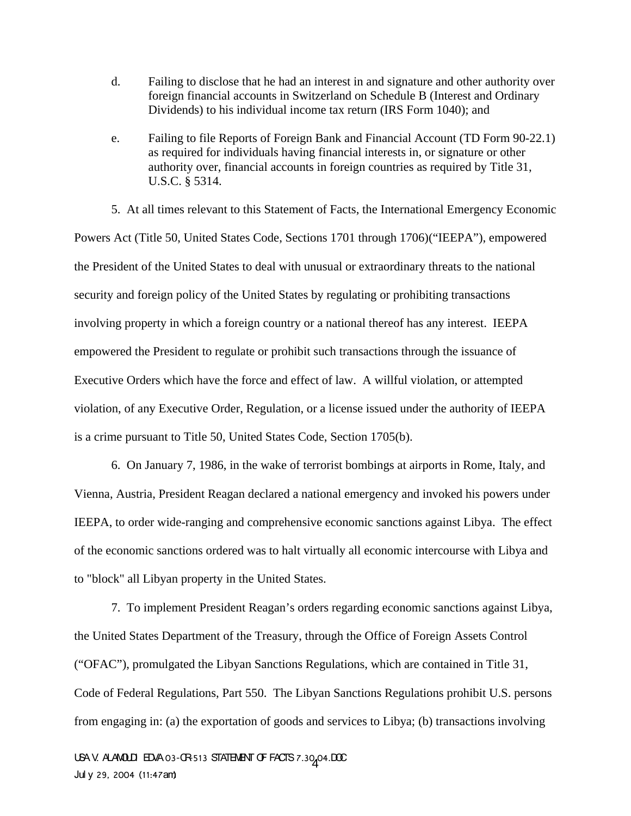- d. Failing to disclose that he had an interest in and signature and other authority over foreign financial accounts in Switzerland on Schedule B (Interest and Ordinary Dividends) to his individual income tax return (IRS Form 1040); and
- e. Failing to file Reports of Foreign Bank and Financial Account (TD Form 90-22.1) as required for individuals having financial interests in, or signature or other authority over, financial accounts in foreign countries as required by Title 31, U.S.C. § 5314.

5. At all times relevant to this Statement of Facts, the International Emergency Economic Powers Act (Title 50, United States Code, Sections 1701 through 1706)("IEEPA"), empowered the President of the United States to deal with unusual or extraordinary threats to the national security and foreign policy of the United States by regulating or prohibiting transactions involving property in which a foreign country or a national thereof has any interest. IEEPA empowered the President to regulate or prohibit such transactions through the issuance of Executive Orders which have the force and effect of law. A willful violation, or attempted violation, of any Executive Order, Regulation, or a license issued under the authority of IEEPA is a crime pursuant to Title 50, United States Code, Section 1705(b).

6. On January 7, 1986, in the wake of terrorist bombings at airports in Rome, Italy, and Vienna, Austria, President Reagan declared a national emergency and invoked his powers under IEEPA, to order wide-ranging and comprehensive economic sanctions against Libya. The effect of the economic sanctions ordered was to halt virtually all economic intercourse with Libya and to "block" all Libyan property in the United States.

7. To implement President Reagan's orders regarding economic sanctions against Libya, the United States Department of the Treasury, through the Office of Foreign Assets Control ("OFAC"), promulgated the Libyan Sanctions Regulations, which are contained in Title 31, Code of Federal Regulations, Part 550. The Libyan Sanctions Regulations prohibit U.S. persons from engaging in: (a) the exportation of goods and services to Libya; (b) transactions involving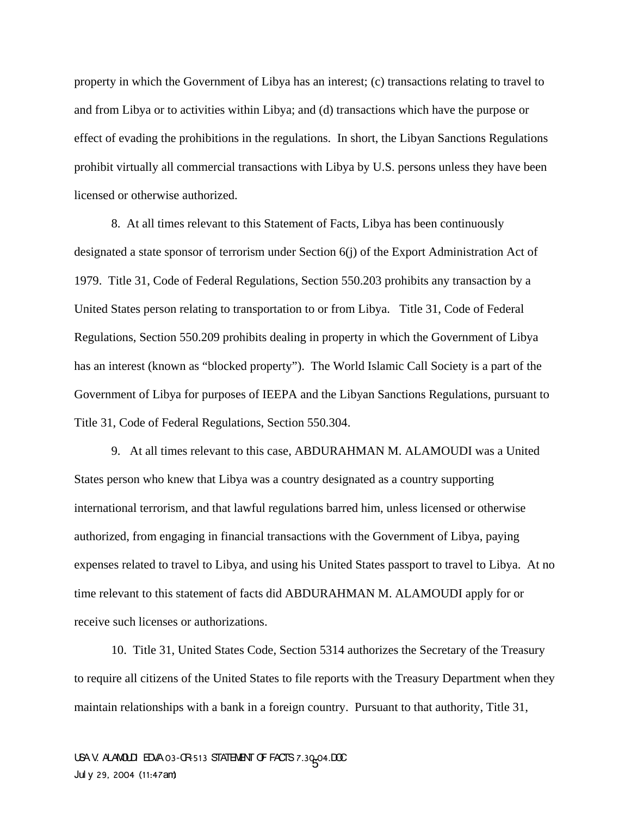property in which the Government of Libya has an interest; (c) transactions relating to travel to and from Libya or to activities within Libya; and (d) transactions which have the purpose or effect of evading the prohibitions in the regulations. In short, the Libyan Sanctions Regulations prohibit virtually all commercial transactions with Libya by U.S. persons unless they have been licensed or otherwise authorized.

8. At all times relevant to this Statement of Facts, Libya has been continuously designated a state sponsor of terrorism under Section 6(j) of the Export Administration Act of 1979. Title 31, Code of Federal Regulations, Section 550.203 prohibits any transaction by a United States person relating to transportation to or from Libya. Title 31, Code of Federal Regulations, Section 550.209 prohibits dealing in property in which the Government of Libya has an interest (known as "blocked property"). The World Islamic Call Society is a part of the Government of Libya for purposes of IEEPA and the Libyan Sanctions Regulations, pursuant to Title 31, Code of Federal Regulations, Section 550.304.

9. At all times relevant to this case, ABDURAHMAN M. ALAMOUDI was a United States person who knew that Libya was a country designated as a country supporting international terrorism, and that lawful regulations barred him, unless licensed or otherwise authorized, from engaging in financial transactions with the Government of Libya, paying expenses related to travel to Libya, and using his United States passport to travel to Libya. At no time relevant to this statement of facts did ABDURAHMAN M. ALAMOUDI apply for or receive such licenses or authorizations.

10. Title 31, United States Code, Section 5314 authorizes the Secretary of the Treasury to require all citizens of the United States to file reports with the Treasury Department when they maintain relationships with a bank in a foreign country. Pursuant to that authority, Title 31,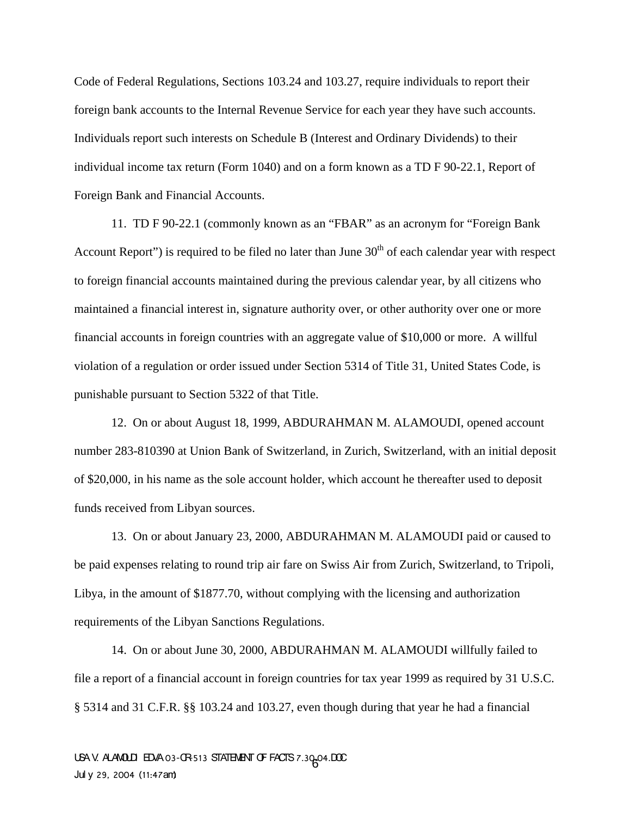Code of Federal Regulations, Sections 103.24 and 103.27, require individuals to report their foreign bank accounts to the Internal Revenue Service for each year they have such accounts. Individuals report such interests on Schedule B (Interest and Ordinary Dividends) to their individual income tax return (Form 1040) and on a form known as a TD F 90-22.1, Report of Foreign Bank and Financial Accounts.

11. TD F 90-22.1 (commonly known as an "FBAR" as an acronym for "Foreign Bank Account Report") is required to be filed no later than June  $30<sup>th</sup>$  of each calendar year with respect to foreign financial accounts maintained during the previous calendar year, by all citizens who maintained a financial interest in, signature authority over, or other authority over one or more financial accounts in foreign countries with an aggregate value of \$10,000 or more. A willful violation of a regulation or order issued under Section 5314 of Title 31, United States Code, is punishable pursuant to Section 5322 of that Title.

12. On or about August 18, 1999, ABDURAHMAN M. ALAMOUDI, opened account number 283-810390 at Union Bank of Switzerland, in Zurich, Switzerland, with an initial deposit of \$20,000, in his name as the sole account holder, which account he thereafter used to deposit funds received from Libyan sources.

13. On or about January 23, 2000, ABDURAHMAN M. ALAMOUDI paid or caused to be paid expenses relating to round trip air fare on Swiss Air from Zurich, Switzerland, to Tripoli, Libya, in the amount of \$1877.70, without complying with the licensing and authorization requirements of the Libyan Sanctions Regulations.

14. On or about June 30, 2000, ABDURAHMAN M. ALAMOUDI willfully failed to file a report of a financial account in foreign countries for tax year 1999 as required by 31 U.S.C. § 5314 and 31 C.F.R. §§ 103.24 and 103.27, even though during that year he had a financial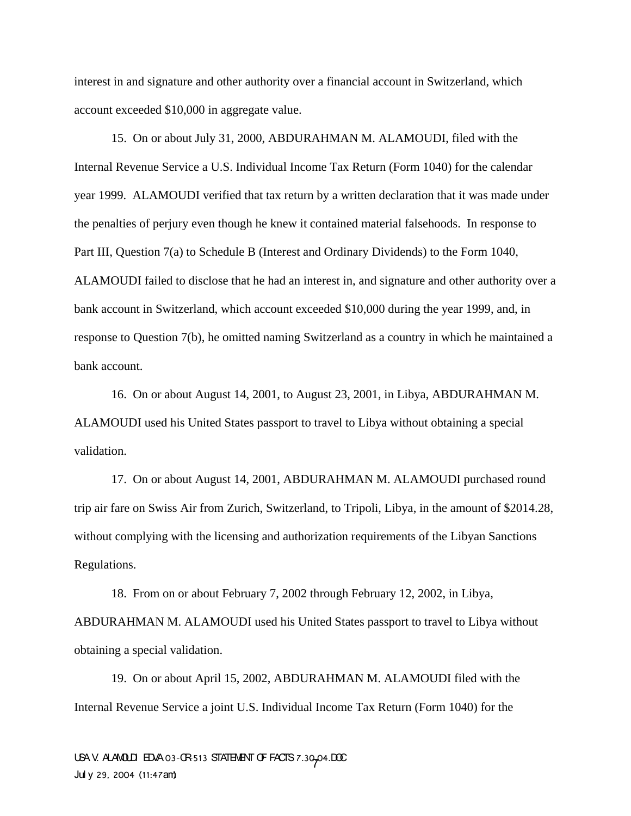interest in and signature and other authority over a financial account in Switzerland, which account exceeded \$10,000 in aggregate value.

15. On or about July 31, 2000, ABDURAHMAN M. ALAMOUDI, filed with the Internal Revenue Service a U.S. Individual Income Tax Return (Form 1040) for the calendar year 1999. ALAMOUDI verified that tax return by a written declaration that it was made under the penalties of perjury even though he knew it contained material falsehoods. In response to Part III, Question 7(a) to Schedule B (Interest and Ordinary Dividends) to the Form 1040, ALAMOUDI failed to disclose that he had an interest in, and signature and other authority over a bank account in Switzerland, which account exceeded \$10,000 during the year 1999, and, in response to Question 7(b), he omitted naming Switzerland as a country in which he maintained a bank account.

16. On or about August 14, 2001, to August 23, 2001, in Libya, ABDURAHMAN M. ALAMOUDI used his United States passport to travel to Libya without obtaining a special validation.

17. On or about August 14, 2001, ABDURAHMAN M. ALAMOUDI purchased round trip air fare on Swiss Air from Zurich, Switzerland, to Tripoli, Libya, in the amount of \$2014.28, without complying with the licensing and authorization requirements of the Libyan Sanctions Regulations.

18. From on or about February 7, 2002 through February 12, 2002, in Libya, ABDURAHMAN M. ALAMOUDI used his United States passport to travel to Libya without obtaining a special validation.

19. On or about April 15, 2002, ABDURAHMAN M. ALAMOUDI filed with the Internal Revenue Service a joint U.S. Individual Income Tax Return (Form 1040) for the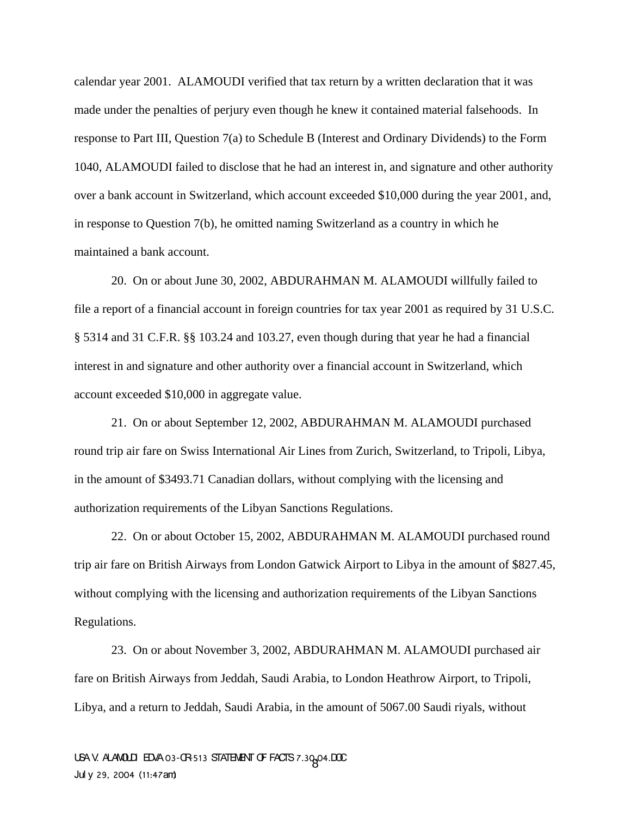calendar year 2001. ALAMOUDI verified that tax return by a written declaration that it was made under the penalties of perjury even though he knew it contained material falsehoods. In response to Part III, Question 7(a) to Schedule B (Interest and Ordinary Dividends) to the Form 1040, ALAMOUDI failed to disclose that he had an interest in, and signature and other authority over a bank account in Switzerland, which account exceeded \$10,000 during the year 2001, and, in response to Question 7(b), he omitted naming Switzerland as a country in which he maintained a bank account.

20. On or about June 30, 2002, ABDURAHMAN M. ALAMOUDI willfully failed to file a report of a financial account in foreign countries for tax year 2001 as required by 31 U.S.C. § 5314 and 31 C.F.R. §§ 103.24 and 103.27, even though during that year he had a financial interest in and signature and other authority over a financial account in Switzerland, which account exceeded \$10,000 in aggregate value.

21. On or about September 12, 2002, ABDURAHMAN M. ALAMOUDI purchased round trip air fare on Swiss International Air Lines from Zurich, Switzerland, to Tripoli, Libya, in the amount of \$3493.71 Canadian dollars, without complying with the licensing and authorization requirements of the Libyan Sanctions Regulations.

22. On or about October 15, 2002, ABDURAHMAN M. ALAMOUDI purchased round trip air fare on British Airways from London Gatwick Airport to Libya in the amount of \$827.45, without complying with the licensing and authorization requirements of the Libyan Sanctions Regulations.

23. On or about November 3, 2002, ABDURAHMAN M. ALAMOUDI purchased air fare on British Airways from Jeddah, Saudi Arabia, to London Heathrow Airport, to Tripoli, Libya, and a return to Jeddah, Saudi Arabia, in the amount of 5067.00 Saudi riyals, without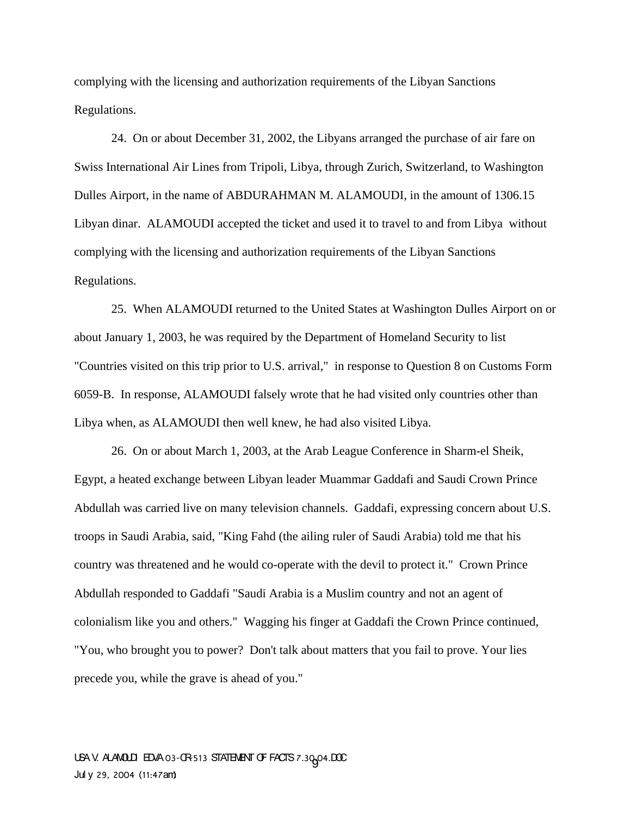complying with the licensing and authorization requirements of the Libyan Sanctions Regulations.

24. On or about December 31, 2002, the Libyans arranged the purchase of air fare on Swiss International Air Lines from Tripoli, Libya, through Zurich, Switzerland, to Washington Dulles Airport, in the name of ABDURAHMAN M. ALAMOUDI, in the amount of 1306.15 Libyan dinar. ALAMOUDI accepted the ticket and used it to travel to and from Libya without complying with the licensing and authorization requirements of the Libyan Sanctions Regulations.

25. When ALAMOUDI returned to the United States at Washington Dulles Airport on or about January 1, 2003, he was required by the Department of Homeland Security to list "Countries visited on this trip prior to U.S. arrival," in response to Question 8 on Customs Form 6059-B. In response, ALAMOUDI falsely wrote that he had visited only countries other than Libya when, as ALAMOUDI then well knew, he had also visited Libya.

26. On or about March 1, 2003, at the Arab League Conference in Sharm-el Sheik, Egypt, a heated exchange between Libyan leader Muammar Gaddafi and Saudi Crown Prince Abdullah was carried live on many television channels. Gaddafi, expressing concern about U.S. troops in Saudi Arabia, said, "King Fahd (the ailing ruler of Saudi Arabia) told me that his country was threatened and he would co-operate with the devil to protect it." Crown Prince Abdullah responded to Gaddafi "Saudi Arabia is a Muslim country and not an agent of colonialism like you and others." Wagging his finger at Gaddafi the Crown Prince continued, "You, who brought you to power? Don't talk about matters that you fail to prove. Your lies precede you, while the grave is ahead of you."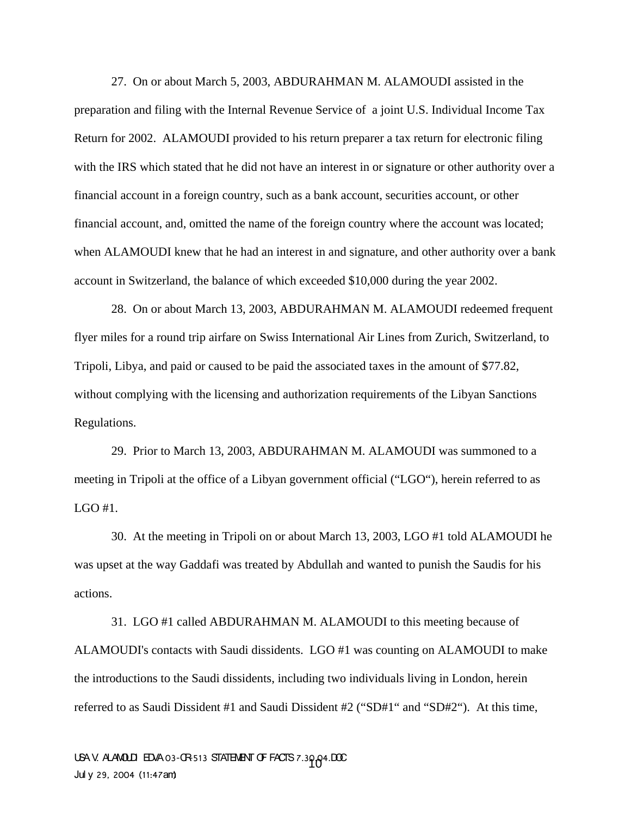27. On or about March 5, 2003, ABDURAHMAN M. ALAMOUDI assisted in the preparation and filing with the Internal Revenue Service of a joint U.S. Individual Income Tax Return for 2002. ALAMOUDI provided to his return preparer a tax return for electronic filing with the IRS which stated that he did not have an interest in or signature or other authority over a financial account in a foreign country, such as a bank account, securities account, or other financial account, and, omitted the name of the foreign country where the account was located; when ALAMOUDI knew that he had an interest in and signature, and other authority over a bank account in Switzerland, the balance of which exceeded \$10,000 during the year 2002.

28. On or about March 13, 2003, ABDURAHMAN M. ALAMOUDI redeemed frequent flyer miles for a round trip airfare on Swiss International Air Lines from Zurich, Switzerland, to Tripoli, Libya, and paid or caused to be paid the associated taxes in the amount of \$77.82, without complying with the licensing and authorization requirements of the Libyan Sanctions Regulations.

29. Prior to March 13, 2003, ABDURAHMAN M. ALAMOUDI was summoned to a meeting in Tripoli at the office of a Libyan government official ("LGO"), herein referred to as LGO #1.

30. At the meeting in Tripoli on or about March 13, 2003, LGO #1 told ALAMOUDI he was upset at the way Gaddafi was treated by Abdullah and wanted to punish the Saudis for his actions.

31. LGO #1 called ABDURAHMAN M. ALAMOUDI to this meeting because of ALAMOUDI's contacts with Saudi dissidents. LGO #1 was counting on ALAMOUDI to make the introductions to the Saudi dissidents, including two individuals living in London, herein referred to as Saudi Dissident #1 and Saudi Dissident #2 ("SD#1" and "SD#2"). At this time,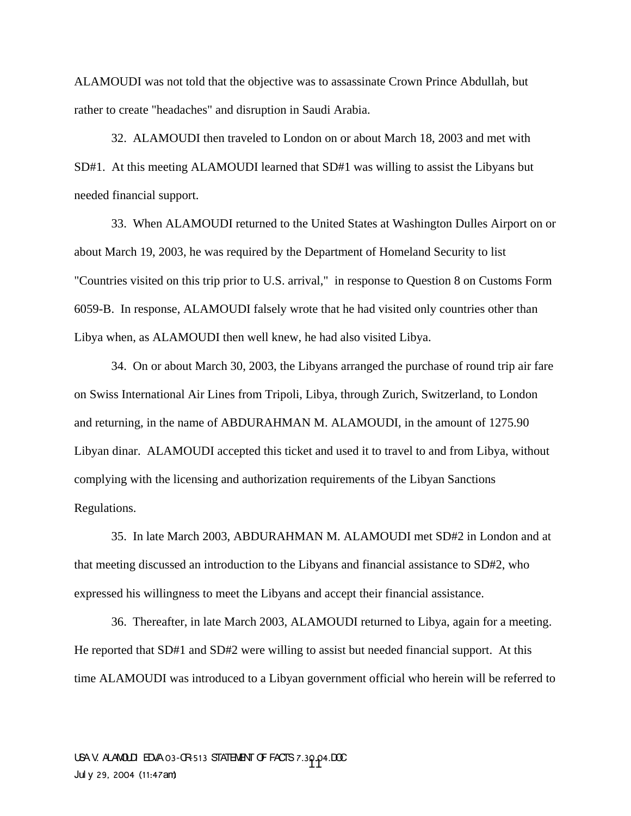ALAMOUDI was not told that the objective was to assassinate Crown Prince Abdullah, but rather to create "headaches" and disruption in Saudi Arabia.

32. ALAMOUDI then traveled to London on or about March 18, 2003 and met with SD#1. At this meeting ALAMOUDI learned that SD#1 was willing to assist the Libyans but needed financial support.

33. When ALAMOUDI returned to the United States at Washington Dulles Airport on or about March 19, 2003, he was required by the Department of Homeland Security to list "Countries visited on this trip prior to U.S. arrival," in response to Question 8 on Customs Form 6059-B. In response, ALAMOUDI falsely wrote that he had visited only countries other than Libya when, as ALAMOUDI then well knew, he had also visited Libya.

34. On or about March 30, 2003, the Libyans arranged the purchase of round trip air fare on Swiss International Air Lines from Tripoli, Libya, through Zurich, Switzerland, to London and returning, in the name of ABDURAHMAN M. ALAMOUDI, in the amount of 1275.90 Libyan dinar. ALAMOUDI accepted this ticket and used it to travel to and from Libya, without complying with the licensing and authorization requirements of the Libyan Sanctions Regulations.

35. In late March 2003, ABDURAHMAN M. ALAMOUDI met SD#2 in London and at that meeting discussed an introduction to the Libyans and financial assistance to SD#2, who expressed his willingness to meet the Libyans and accept their financial assistance.

36. Thereafter, in late March 2003, ALAMOUDI returned to Libya, again for a meeting. He reported that SD#1 and SD#2 were willing to assist but needed financial support. At this time ALAMOUDI was introduced to a Libyan government official who herein will be referred to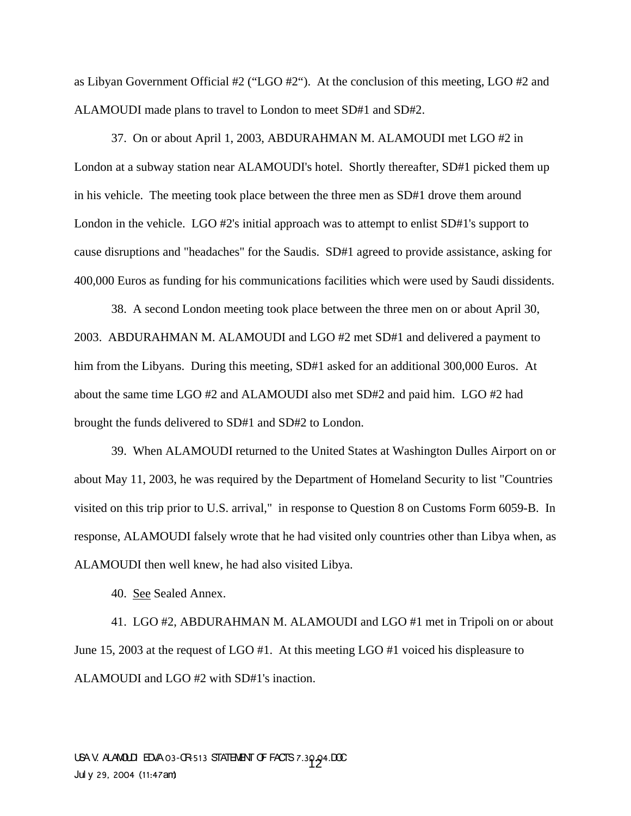as Libyan Government Official #2 ("LGO #2"). At the conclusion of this meeting, LGO #2 and ALAMOUDI made plans to travel to London to meet SD#1 and SD#2.

37. On or about April 1, 2003, ABDURAHMAN M. ALAMOUDI met LGO #2 in London at a subway station near ALAMOUDI's hotel. Shortly thereafter, SD#1 picked them up in his vehicle. The meeting took place between the three men as SD#1 drove them around London in the vehicle. LGO #2's initial approach was to attempt to enlist SD#1's support to cause disruptions and "headaches" for the Saudis. SD#1 agreed to provide assistance, asking for 400,000 Euros as funding for his communications facilities which were used by Saudi dissidents.

38. A second London meeting took place between the three men on or about April 30, 2003. ABDURAHMAN M. ALAMOUDI and LGO #2 met SD#1 and delivered a payment to him from the Libyans. During this meeting, SD#1 asked for an additional 300,000 Euros. At about the same time LGO #2 and ALAMOUDI also met SD#2 and paid him. LGO #2 had brought the funds delivered to SD#1 and SD#2 to London.

39. When ALAMOUDI returned to the United States at Washington Dulles Airport on or about May 11, 2003, he was required by the Department of Homeland Security to list "Countries visited on this trip prior to U.S. arrival," in response to Question 8 on Customs Form 6059-B. In response, ALAMOUDI falsely wrote that he had visited only countries other than Libya when, as ALAMOUDI then well knew, he had also visited Libya.

40. See Sealed Annex.

41. LGO #2, ABDURAHMAN M. ALAMOUDI and LGO #1 met in Tripoli on or about June 15, 2003 at the request of LGO #1. At this meeting LGO #1 voiced his displeasure to ALAMOUDI and LGO #2 with SD#1's inaction.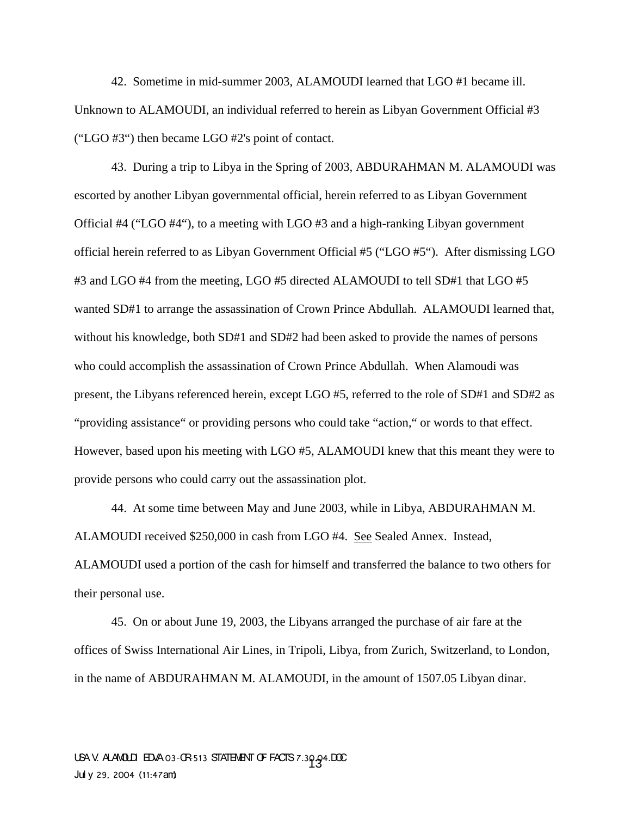42. Sometime in mid-summer 2003, ALAMOUDI learned that LGO #1 became ill. Unknown to ALAMOUDI, an individual referred to herein as Libyan Government Official #3 ("LGO #3") then became LGO #2's point of contact.

43. During a trip to Libya in the Spring of 2003, ABDURAHMAN M. ALAMOUDI was escorted by another Libyan governmental official, herein referred to as Libyan Government Official #4 ("LGO #4"), to a meeting with LGO #3 and a high-ranking Libyan government official herein referred to as Libyan Government Official #5 ("LGO #5"). After dismissing LGO #3 and LGO #4 from the meeting, LGO #5 directed ALAMOUDI to tell SD#1 that LGO #5 wanted SD#1 to arrange the assassination of Crown Prince Abdullah. ALAMOUDI learned that, without his knowledge, both SD#1 and SD#2 had been asked to provide the names of persons who could accomplish the assassination of Crown Prince Abdullah. When Alamoudi was present, the Libyans referenced herein, except LGO #5, referred to the role of SD#1 and SD#2 as "providing assistance" or providing persons who could take "action," or words to that effect. However, based upon his meeting with LGO #5, ALAMOUDI knew that this meant they were to provide persons who could carry out the assassination plot.

44. At some time between May and June 2003, while in Libya, ABDURAHMAN M. ALAMOUDI received \$250,000 in cash from LGO #4. See Sealed Annex. Instead, ALAMOUDI used a portion of the cash for himself and transferred the balance to two others for their personal use.

45. On or about June 19, 2003, the Libyans arranged the purchase of air fare at the offices of Swiss International Air Lines, in Tripoli, Libya, from Zurich, Switzerland, to London, in the name of ABDURAHMAN M. ALAMOUDI, in the amount of 1507.05 Libyan dinar.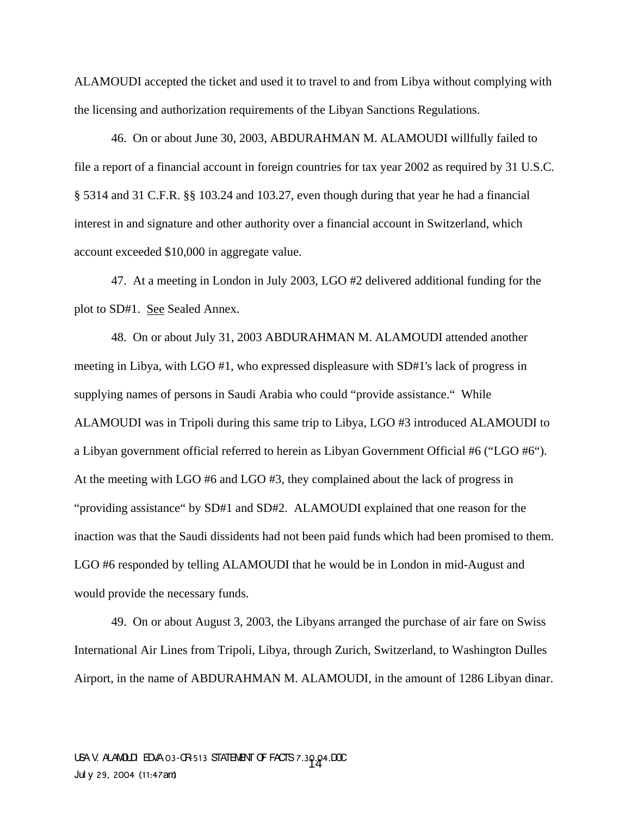ALAMOUDI accepted the ticket and used it to travel to and from Libya without complying with the licensing and authorization requirements of the Libyan Sanctions Regulations.

46. On or about June 30, 2003, ABDURAHMAN M. ALAMOUDI willfully failed to file a report of a financial account in foreign countries for tax year 2002 as required by 31 U.S.C. § 5314 and 31 C.F.R. §§ 103.24 and 103.27, even though during that year he had a financial interest in and signature and other authority over a financial account in Switzerland, which account exceeded \$10,000 in aggregate value.

47. At a meeting in London in July 2003, LGO #2 delivered additional funding for the plot to SD#1. See Sealed Annex.

48. On or about July 31, 2003 ABDURAHMAN M. ALAMOUDI attended another meeting in Libya, with LGO #1, who expressed displeasure with SD#1's lack of progress in supplying names of persons in Saudi Arabia who could "provide assistance." While ALAMOUDI was in Tripoli during this same trip to Libya, LGO #3 introduced ALAMOUDI to a Libyan government official referred to herein as Libyan Government Official #6 ("LGO #6"). At the meeting with LGO #6 and LGO #3, they complained about the lack of progress in "providing assistance" by SD#1 and SD#2. ALAMOUDI explained that one reason for the inaction was that the Saudi dissidents had not been paid funds which had been promised to them. LGO #6 responded by telling ALAMOUDI that he would be in London in mid-August and would provide the necessary funds.

49. On or about August 3, 2003, the Libyans arranged the purchase of air fare on Swiss International Air Lines from Tripoli, Libya, through Zurich, Switzerland, to Washington Dulles Airport, in the name of ABDURAHMAN M. ALAMOUDI, in the amount of 1286 Libyan dinar.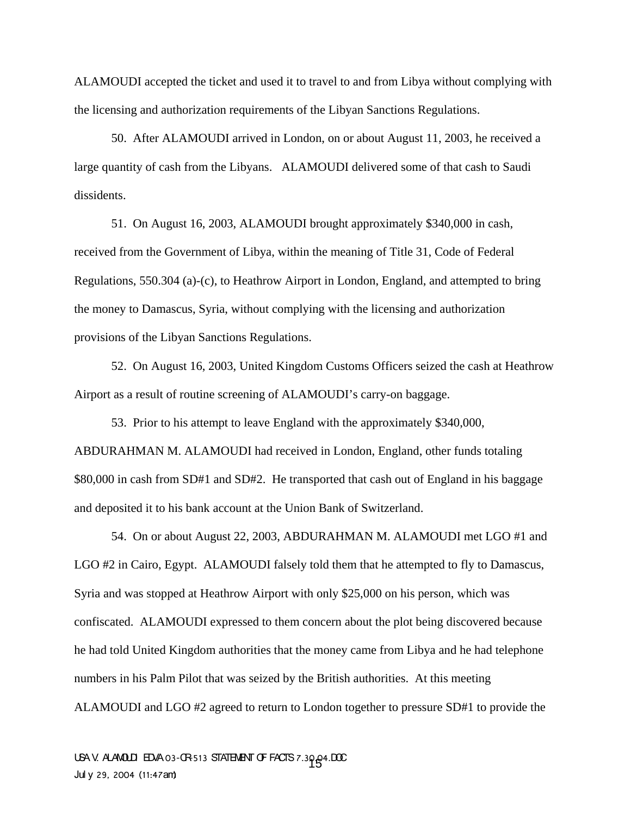ALAMOUDI accepted the ticket and used it to travel to and from Libya without complying with the licensing and authorization requirements of the Libyan Sanctions Regulations.

50. After ALAMOUDI arrived in London, on or about August 11, 2003, he received a large quantity of cash from the Libyans. ALAMOUDI delivered some of that cash to Saudi dissidents.

51. On August 16, 2003, ALAMOUDI brought approximately \$340,000 in cash, received from the Government of Libya, within the meaning of Title 31, Code of Federal Regulations, 550.304 (a)-(c), to Heathrow Airport in London, England, and attempted to bring the money to Damascus, Syria, without complying with the licensing and authorization provisions of the Libyan Sanctions Regulations.

52. On August 16, 2003, United Kingdom Customs Officers seized the cash at Heathrow Airport as a result of routine screening of ALAMOUDI's carry-on baggage.

53. Prior to his attempt to leave England with the approximately \$340,000, ABDURAHMAN M. ALAMOUDI had received in London, England, other funds totaling \$80,000 in cash from SD#1 and SD#2. He transported that cash out of England in his baggage and deposited it to his bank account at the Union Bank of Switzerland.

54. On or about August 22, 2003, ABDURAHMAN M. ALAMOUDI met LGO #1 and LGO #2 in Cairo, Egypt. ALAMOUDI falsely told them that he attempted to fly to Damascus, Syria and was stopped at Heathrow Airport with only \$25,000 on his person, which was confiscated. ALAMOUDI expressed to them concern about the plot being discovered because he had told United Kingdom authorities that the money came from Libya and he had telephone numbers in his Palm Pilot that was seized by the British authorities. At this meeting ALAMOUDI and LGO #2 agreed to return to London together to pressure SD#1 to provide the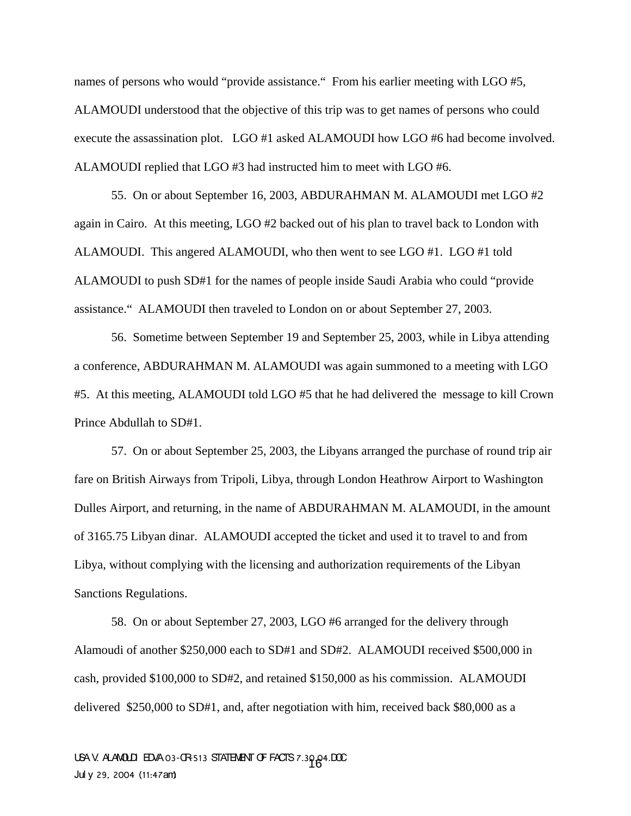names of persons who would "provide assistance." From his earlier meeting with LGO #5, ALAMOUDI understood that the objective of this trip was to get names of persons who could execute the assassination plot. LGO #1 asked ALAMOUDI how LGO #6 had become involved. ALAMOUDI replied that LGO #3 had instructed him to meet with LGO #6.

55. On or about September 16, 2003, ABDURAHMAN M. ALAMOUDI met LGO #2 again in Cairo. At this meeting, LGO #2 backed out of his plan to travel back to London with ALAMOUDI. This angered ALAMOUDI, who then went to see LGO #1. LGO #1 told ALAMOUDI to push SD#1 for the names of people inside Saudi Arabia who could "provide assistance." ALAMOUDI then traveled to London on or about September 27, 2003.

56. Sometime between September 19 and September 25, 2003, while in Libya attending a conference, ABDURAHMAN M. ALAMOUDI was again summoned to a meeting with LGO #5. At this meeting, ALAMOUDI told LGO #5 that he had delivered the message to kill Crown Prince Abdullah to SD#1.

57. On or about September 25, 2003, the Libyans arranged the purchase of round trip air fare on British Airways from Tripoli, Libya, through London Heathrow Airport to Washington Dulles Airport, and returning, in the name of ABDURAHMAN M. ALAMOUDI, in the amount of 3165.75 Libyan dinar. ALAMOUDI accepted the ticket and used it to travel to and from Libya, without complying with the licensing and authorization requirements of the Libyan Sanctions Regulations.

58. On or about September 27, 2003, LGO #6 arranged for the delivery through Alamoudi of another \$250,000 each to SD#1 and SD#2. ALAMOUDI received \$500,000 in cash, provided \$100,000 to SD#2, and retained \$150,000 as his commission. ALAMOUDI delivered \$250,000 to SD#1, and, after negotiation with him, received back \$80,000 as a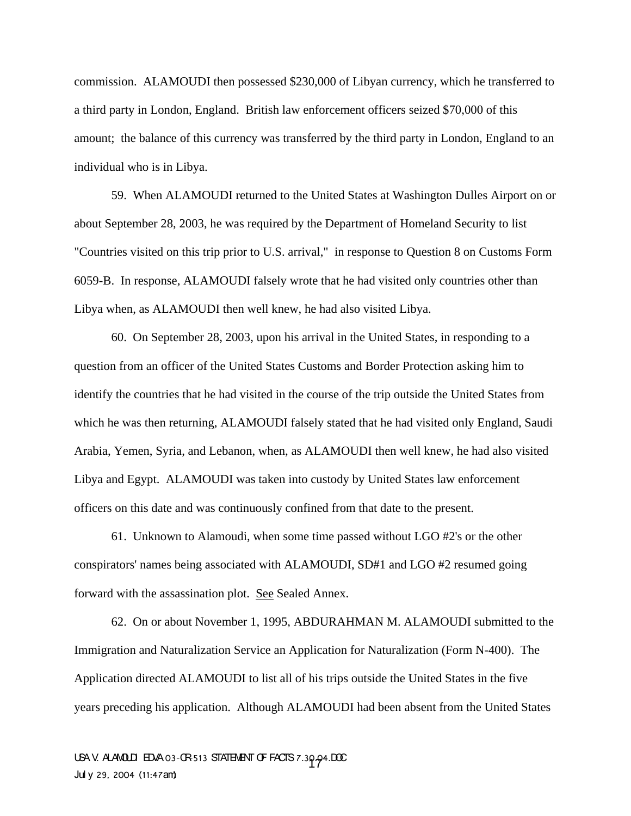commission. ALAMOUDI then possessed \$230,000 of Libyan currency, which he transferred to a third party in London, England. British law enforcement officers seized \$70,000 of this amount; the balance of this currency was transferred by the third party in London, England to an individual who is in Libya.

59. When ALAMOUDI returned to the United States at Washington Dulles Airport on or about September 28, 2003, he was required by the Department of Homeland Security to list "Countries visited on this trip prior to U.S. arrival," in response to Question 8 on Customs Form 6059-B. In response, ALAMOUDI falsely wrote that he had visited only countries other than Libya when, as ALAMOUDI then well knew, he had also visited Libya.

60. On September 28, 2003, upon his arrival in the United States, in responding to a question from an officer of the United States Customs and Border Protection asking him to identify the countries that he had visited in the course of the trip outside the United States from which he was then returning, ALAMOUDI falsely stated that he had visited only England, Saudi Arabia, Yemen, Syria, and Lebanon, when, as ALAMOUDI then well knew, he had also visited Libya and Egypt. ALAMOUDI was taken into custody by United States law enforcement officers on this date and was continuously confined from that date to the present.

61. Unknown to Alamoudi, when some time passed without LGO #2's or the other conspirators' names being associated with ALAMOUDI, SD#1 and LGO #2 resumed going forward with the assassination plot. See Sealed Annex.

 62. On or about November 1, 1995, ABDURAHMAN M. ALAMOUDI submitted to the Immigration and Naturalization Service an Application for Naturalization (Form N-400). The Application directed ALAMOUDI to list all of his trips outside the United States in the five years preceding his application. Although ALAMOUDI had been absent from the United States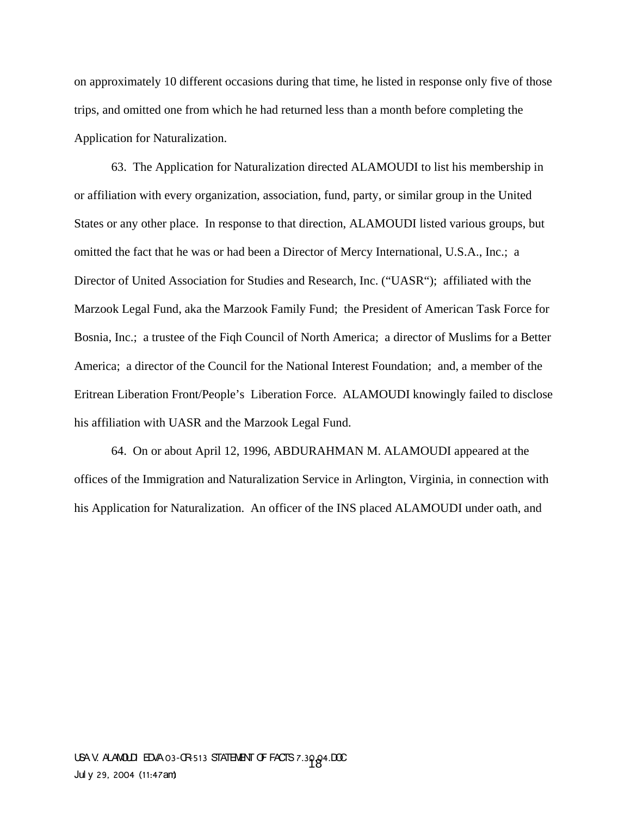on approximately 10 different occasions during that time, he listed in response only five of those trips, and omitted one from which he had returned less than a month before completing the Application for Naturalization.

63. The Application for Naturalization directed ALAMOUDI to list his membership in or affiliation with every organization, association, fund, party, or similar group in the United States or any other place. In response to that direction, ALAMOUDI listed various groups, but omitted the fact that he was or had been a Director of Mercy International, U.S.A., Inc.; a Director of United Association for Studies and Research, Inc. ("UASR"); affiliated with the Marzook Legal Fund, aka the Marzook Family Fund; the President of American Task Force for Bosnia, Inc.; a trustee of the Fiqh Council of North America; a director of Muslims for a Better America; a director of the Council for the National Interest Foundation; and, a member of the Eritrean Liberation Front/People's Liberation Force. ALAMOUDI knowingly failed to disclose his affiliation with UASR and the Marzook Legal Fund.

64. On or about April 12, 1996, ABDURAHMAN M. ALAMOUDI appeared at the offices of the Immigration and Naturalization Service in Arlington, Virginia, in connection with his Application for Naturalization. An officer of the INS placed ALAMOUDI under oath, and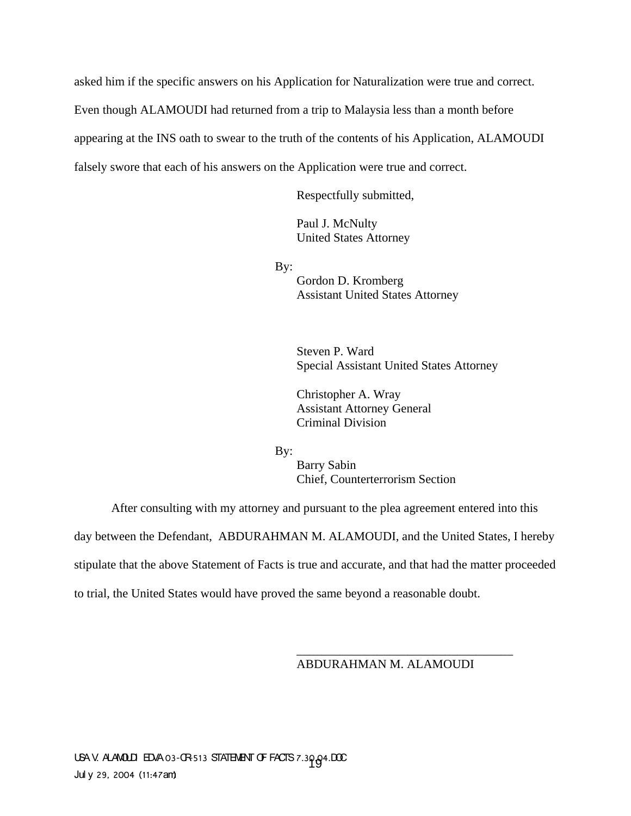asked him if the specific answers on his Application for Naturalization were true and correct. Even though ALAMOUDI had returned from a trip to Malaysia less than a month before appearing at the INS oath to swear to the truth of the contents of his Application, ALAMOUDI falsely swore that each of his answers on the Application were true and correct.

Respectfully submitted,

Paul J. McNulty United States Attorney

By:

Gordon D. Kromberg Assistant United States Attorney

Steven P. Ward Special Assistant United States Attorney

Christopher A. Wray Assistant Attorney General Criminal Division

By:

Barry Sabin Chief, Counterterrorism Section

After consulting with my attorney and pursuant to the plea agreement entered into this

day between the Defendant, ABDURAHMAN M. ALAMOUDI, and the United States, I hereby

stipulate that the above Statement of Facts is true and accurate, and that had the matter proceeded

to trial, the United States would have proved the same beyond a reasonable doubt.

ABDURAHMAN M. ALAMOUDI

\_\_\_\_\_\_\_\_\_\_\_\_\_\_\_\_\_\_\_\_\_\_\_\_\_\_\_\_\_\_\_\_\_\_\_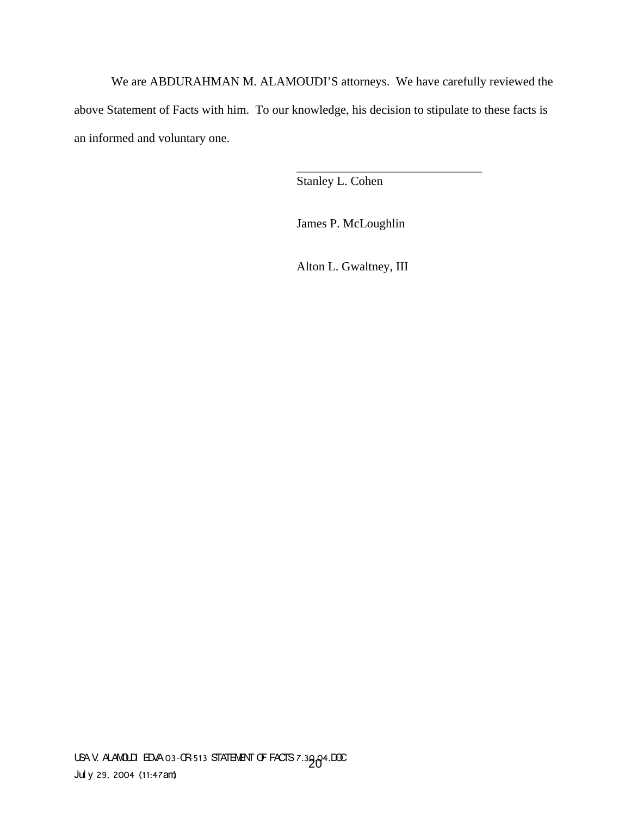We are ABDURAHMAN M. ALAMOUDI'S attorneys. We have carefully reviewed the above Statement of Facts with him. To our knowledge, his decision to stipulate to these facts is an informed and voluntary one.

Stanley L. Cohen

James P. McLoughlin

\_\_\_\_\_\_\_\_\_\_\_\_\_\_\_\_\_\_\_\_\_\_\_\_\_\_\_\_\_\_

Alton L. Gwaltney, III